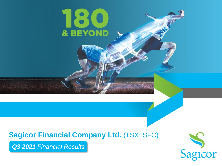### **Sagicor Financial Company Ltd.** (TSX: SFC)

180

& BEYOND

*Q3 2021 Financial Results*

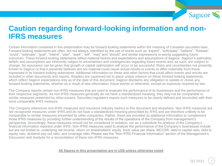

#### **Caution regarding forward-looking information and non-IFRS measures**

Certain information contained in this presentation may be forward-looking statements within the meaning of Canadian securities laws. Forward-looking statements are often, but not always, identified by the use of words such as "expect", "anticipate", "believe", "foresee", "could", "estimate", "goal", "intend", "plan", "seek", "will", "may" and "should" and similar expressions or words suggesting future outcomes. These forward-looking statements reflect material factors and expectations and assumptions of Sagicor. Sagicor's estimates, beliefs and assumptions are inherently subject to uncertainties and contingencies regarding future events and, as such, are subject to change. No assurance can be given that growth or capital optimization will occur or be successful. Risks and uncertainties not presently known to Sagicor or that it presently believes are not material could cause actual results or events to differ materially from those expressed in its forward-looking statements. Additional information on these and other factors that could affect events and results are included in other documents and reports. Readers are cautioned not to place undue reliance on these forward-looking statements, which reflect Sagicor expectations only as of the date of this document. Sagicor disclaims any obligation to update or revise any forward-looking statements, whether as a result of new information, future events or otherwise, except as expressly required by law.

The Company reports certain non-IFRS measures that are used to evaluate the performance of its businesses and the performance of their respective segments. As non-IFRS measures generally do not have a standardized meaning, they may not be comparable to similar measures presented by other issuers. Securities regulators require such measures to be clearly defined and reconciled with their most comparable IFRS measure.

The Company references non-IFRS measures and insurance industry metrics in this document and elsewhere. Non-IFRS measures are not recognized measures under IFRS and do not have a standardized meaning prescribed by IFRS and are therefore unlikely to be comparable to similar measures presented by other companies. Rather, these are provided as additional information to complement those IFRS measures by providing further understanding of the results of the operations of the Company from management's perspective. Accordingly, these measures should not be considered in isolation, nor as a substitute for analysis of the Company's financial information reported under IFRS. Non-IFRS measures used to analyze the performance of the Company's businesses include but are not limited to: underlying net income, return on shareholders' equity, book value per share, MCCSR, debt to capital ratio, debt to equity ratio, dividend pay-out ratio, and coverage ratio. Please see the "Non-IFRS Financial Information" section of the Management's Discussion and Analysis for a reconciliation of these non-IFRS measures.

#### **All figures in this presentation are in US\$ unless otherwise noted**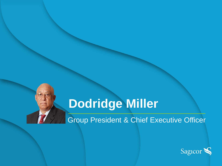# **Dodridge Miller**

Group President & Chief Executive Officer

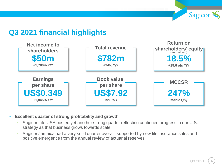

#### **Q3 2021 financial highlights**



- **Excellent quarter of strong profitability and growth** 
	- Sagicor Life USA posted yet another strong quarter reflecting continued progress in our U.S. strategy as that business grows towards scale
	- Sagicor Jamaica had a very solid quarter overall, supported by new life insurance sales and positive emergence from the annual review of actuarial reserves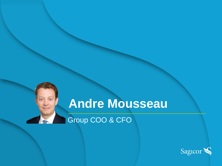## **Andre Mousseau**

Group COO & CFO

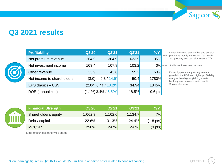

#### **Q3 2021 results**



| <b>Profitability</b>       | Q3'20 | Q2'21                              | Q3'21 | Y/Y      | Driven                    |
|----------------------------|-------|------------------------------------|-------|----------|---------------------------|
| Net premium revenue        | 264.9 | 364.9                              | 623.5 | 135%     | premi<br>and pr           |
| Net investment income      | 103.4 | 107.8                              | 103.2 | 0%       | Stable                    |
| Other revenue              | 33.9  | 43.6                               | 55.2  | 63%      | <b>Driver</b>             |
| Net income to shareholders | (3.0) | 9.3 / 14.91                        | 50.4  | $1780\%$ | growth<br>margi<br>backir |
| EPS (basic) - US\$         |       | $(2.0¢)$ 6.4¢ / 10.2¢ <sup>1</sup> | 34.9c | 1845%    | Sagic                     |
| ROE (annualized)           |       | $(1.1\%)$ 3.4% / 5.5% <sup>1</sup> | 18.5% | 19.6 pts |                           |

| Driven by strong sales of life and annuity<br>premiums mostly in the USA, flat health<br>and property and casualty revenue Y/Y                                                         |  |
|----------------------------------------------------------------------------------------------------------------------------------------------------------------------------------------|--|
| Stable net investment income                                                                                                                                                           |  |
| Driven by particularly strong revenue<br>growth in the USA and higher profitability<br>margins from higher yielding assets<br>backing new business, solid result in<br>Sagicor Jamaica |  |

| Ш |  |
|---|--|
|   |  |

| <b>Financial Strength</b> | Q3'20   | Q2'21   | Q3'21   | Y/Y                 |
|---------------------------|---------|---------|---------|---------------------|
| Shareholder's equity      | 1,062.3 | 1,102.0 | 1,134.7 | 7%                  |
| Debt / capital            | 22.6%   | 31.3%   | 24.4%   | $(1.8 \text{ pts})$ |
| <b>MCCSR</b>              | 250%    | 247%    | 247%    | $(3 \text{ pts})$   |

\$ millions unless otherwise stated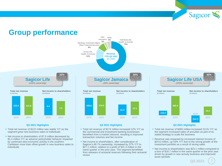Sagicor

#### **Group performance**



P&C

Other

- Total net revenue of \$122 million was stable Y/Y as the segment grew new business sales to individuals
- Net income to shareholders of \$7.0 million decreased by \$1.4 million Y/Y as adverse policyholder behavior impacted by continued slow economic activity in the southern Caribbean more than offset growth in new business sales to individuals
- Total net revenue of \$174 million increased 12% Y/Y as the commercial and investment banking businesses benefited from a market rebound, resulting in improved transaction volumes and fee income
- Net income to shareholders, after consideration of Sagicor's 49.1% ownership, increased by 27% Y/Y to \$27.1 million, relative to a profit of \$21.3 million in the same quarter in the prior year. The segment benefitted from releases of actuarial reserves following their actuarial review
- Total net revenue of \$465 million increased 311% Y/Y as the segment increased sales of annuities as part of its stated strategy to scale the business
- Revenue was impacted by increased interest income of \$24.6 million, up 43% Y/Y due to the strong growth of the investment portfolio as a result of strong sales
- Net income to shareholders was \$23.1 million compared to a loss of \$18.7 million in the same quarter in the prior year driven by growth in new annuity business and improved asset spreads

**Q3 2021**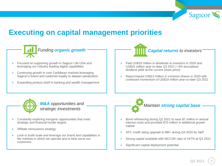

#### **Executing on capital management priorities**

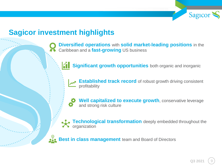

#### **Sagicor investment highlights**

**Diversified operations** with **solid market-leading positions** in the Caribbean and a **fast-growing** US business

**Significant growth opportunities** both organic and inorganic

**Established track record** of robust growth driving consistent profitability

**Well capitalized to execute growth**, conservative leverage and strong risk culture

**Technological transformation** deeply embedded throughout the organization

**Best in class management** team and Board of Directors